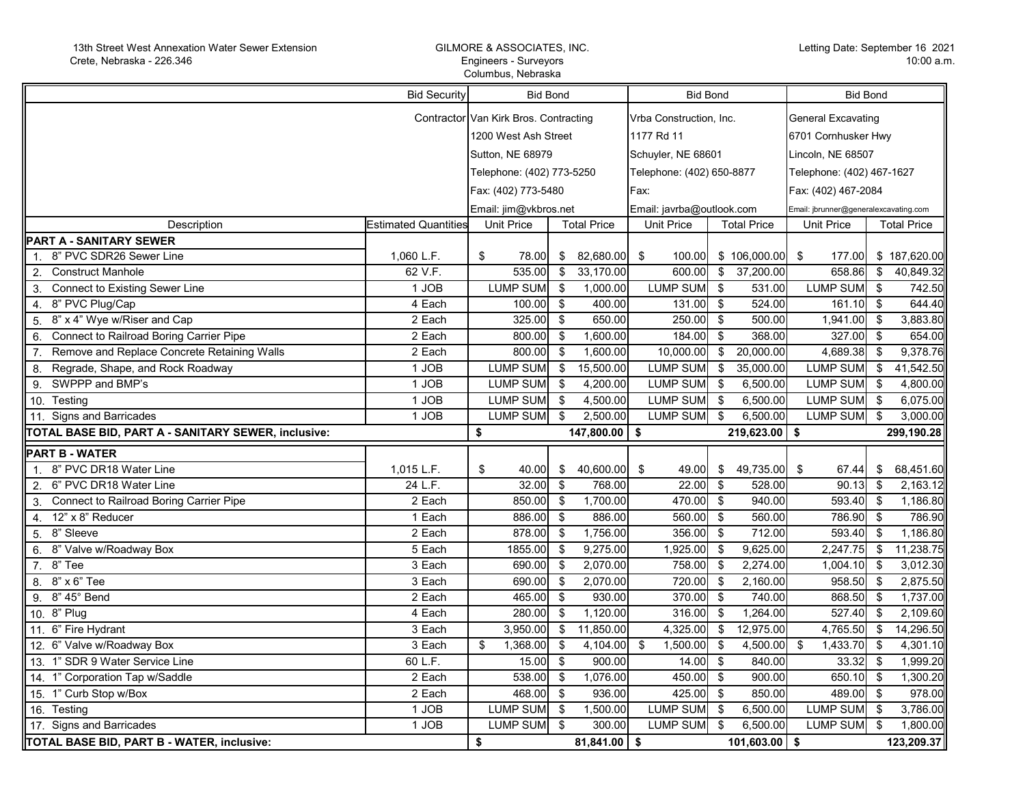## GILMORE & ASSOCIATES, INC. Engineers - Surveyors Columbus, Nebraska

| <b>Bid Security</b>                                 |                             | <b>Bid Bond</b>                       |                         | <b>Bid Bond</b>           |                   | <b>Bid Bond</b>                       |                     |                   |                         |                    |
|-----------------------------------------------------|-----------------------------|---------------------------------------|-------------------------|---------------------------|-------------------|---------------------------------------|---------------------|-------------------|-------------------------|--------------------|
|                                                     |                             | Contractor Van Kirk Bros. Contracting |                         | Vrba Construction, Inc.   |                   | <b>General Excavating</b>             |                     |                   |                         |                    |
|                                                     | 1200 West Ash Street        |                                       | 1177 Rd 11              |                           |                   | 6701 Cornhusker Hwy                   |                     |                   |                         |                    |
|                                                     |                             |                                       |                         |                           |                   |                                       |                     |                   |                         |                    |
|                                                     | Sutton, NE 68979            |                                       | Schuyler, NE 68601      |                           | Lincoln, NE 68507 |                                       |                     |                   |                         |                    |
|                                                     |                             | Telephone: (402) 773-5250             |                         | Telephone: (402) 650-8877 |                   | Telephone: (402) 467-1627             |                     |                   |                         |                    |
|                                                     |                             | Fax: (402) 773-5480                   |                         | Fax:                      |                   |                                       | Fax: (402) 467-2084 |                   |                         |                    |
|                                                     |                             | Email: jim@vkbros.net                 |                         | Email: javrba@outlook.com |                   | Email: jbrunner@generalexcavating.com |                     |                   |                         |                    |
| Description                                         | <b>Estimated Quantities</b> | <b>Unit Price</b>                     |                         | <b>Total Price</b>        | Unit Price        |                                       | <b>Total Price</b>  | <b>Unit Price</b> |                         | <b>Total Price</b> |
| PART A - SANITARY SEWER                             |                             |                                       |                         |                           |                   |                                       |                     |                   |                         |                    |
| 8" PVC SDR26 Sewer Line<br>1 <sup>1</sup>           | 1,060 L.F.                  | \$<br>78.00                           | \$                      | 82,680.00                 | \$<br>100.00      |                                       | \$106,000.00        | -\$<br>177.00     |                         | \$187,620.00       |
| <b>Construct Manhole</b><br>2.                      | 62 V.F.                     | 535.00                                | $\sqrt[6]{\frac{1}{2}}$ | 33,170.00                 | 600.00            | $\overline{\bullet}$                  | 37,200.00           | 658.86            | $\overline{\mathbf{3}}$ | 40,849.32          |
| <b>Connect to Existing Sewer Line</b><br>3.         | 1 JOB                       | <b>LUMP SUM</b>                       | \$                      | 1,000.00                  | <b>LUMP SUM</b>   | - \$                                  | 531.00              | <b>LUMP SUM</b>   | - \$                    | 742.50             |
| 8" PVC Plug/Cap<br>4.                               | 4 Each                      | 100.00                                | \$                      | 400.00                    | 131.00            | $\mathfrak{s}$                        | 524.00              | 161.10            | - \$                    | 644.40             |
| 8" x 4" Wye w/Riser and Cap<br>5.                   | 2 Each                      | 325.00                                | \$                      | 650.00                    | 250.00            | \$                                    | 500.00              | 1,941.00          | \$                      | 3,883.80           |
| Connect to Railroad Boring Carrier Pipe<br>6.       | 2 Each                      | 800.00                                | \$                      | 1,600.00                  | 184.00            | \$                                    | 368.00              | 327.00            | -\$                     | 654.00             |
| Remove and Replace Concrete Retaining Walls<br>7.   | 2 Each                      | 800.00                                | -\$                     | 1,600.00                  | 10,000.00         | $\sqrt[3]{5}$                         | 20,000.00           | 4,689.38          | \$                      | 9,378.76           |
| Regrade, Shape, and Rock Roadway<br>8.              | 1 JOB                       | <b>LUMP SUM</b>                       | $\sqrt[6]{\frac{1}{2}}$ | 15,500.00                 | <b>LUMP SUM</b>   | $\sqrt[6]{3}$                         | 35,000.00           | <b>LUMP SUM</b>   | \$                      | 41,542.50          |
| SWPPP and BMP's<br>9.                               | 1 JOB                       | <b>LUMP SUM</b>                       | \$                      | 4,200.00                  | <b>LUMP SUM</b>   | - \$                                  | 6,500.00            | <b>LUMP SUM</b>   | \$                      | 4,800.00           |
| Testing<br>10.                                      | 1 JOB                       | LUMP SUM                              | \$                      | 4,500.00                  | LUMP SUM          | - \$                                  | 6,500.00            | <b>LUMP SUM</b>   | \$                      | 6,075.00           |
| 11. Signs and Barricades                            | 1 JOB                       | <b>LUMP SUM</b>                       | \$                      | 2,500.00                  | <b>LUMP SUM</b>   | \$                                    | 6,500.00            | <b>LUMP SUM</b>   | \$                      | 3,000.00           |
|                                                     |                             |                                       |                         |                           |                   |                                       |                     |                   |                         |                    |
| TOTAL BASE BID, PART A - SANITARY SEWER, inclusive: |                             | \$                                    |                         | 147,800.00 \$             |                   |                                       | $219,623.00$ \$     |                   |                         | 299,190.28         |
| PART B - WATER                                      |                             |                                       |                         |                           |                   |                                       |                     |                   |                         |                    |
| 8" PVC DR18 Water Line<br>$1_{-}$                   | 1,015 L.F.                  | \$<br>40.00                           | \$                      | 40,600.00                 | 49.00<br>-\$      | - \$                                  | 49,735.00           | -\$<br>67.44      | \$                      | 68,451.60          |
| 2. 6" PVC DR18 Water Line                           | 24 L.F.                     | 32.00                                 | <b>S</b>                | 768.00                    | 22.00             | - \$                                  | 528.00              | 90.13             | - \$                    | 2,163.12           |
| Connect to Railroad Boring Carrier Pipe<br>3.       | 2 Each                      | 850.00                                | $\sqrt[6]{3}$           | 1,700.00                  | 470.00            | $\overline{\mathbf{s}}$               | 940.00              | 593.40            | -\$                     | 1,186.80           |
| 12" x 8" Reducer<br>4.                              | 1 Each                      | 886.00                                | <b>S</b>                | 886.00                    | 560.00            | <b>S</b>                              | 560.00              | 786.90            | \$                      | 786.90             |
| 5. 8" Sleeve                                        | 2 Each                      | 878.00                                | \$                      | 1,756.00                  | 356.00            | - \$                                  | 712.00              | 593.40            | \$                      | 1,186.80           |
| 6. 8" Valve w/Roadway Box                           | 5 Each                      | 1855.00                               | \$                      | 9,275.00                  | 1,925.00          | - \$                                  | 9,625.00            | 2,247.75          | -\$                     | 11,238.75          |
| 7. 8" Tee                                           | $3$ Each                    | 690.00                                | -\$                     | 2,070.00                  | 758.00            | - \$                                  | 2,274.00            | 1,004.10          | -\$                     | 3,012.30           |
| 8. 8" x 6" Tee                                      | 3 Each                      | 690.00                                | \$                      | 2,070.00                  | 720.00            | $\overline{\mathbf{S}}$               | 2,160.00            | 958.50            | \$                      | 2,875.50           |
| 8" 45° Bend<br>9.                                   | $\overline{2}$ Each         | 465.00                                | $\mathfrak{S}$          | 930.00                    | 370.00            | $\sqrt{3}$                            | 740.00              | 868.50            | \$                      | 1,737.00           |
| 10. 8" Plug                                         | 4 Each                      | 280.00                                | \$                      | 1,120.00                  | 316.00            | - \$                                  | 1,264.00            | 527.40            | \$                      | 2,109.60           |
| 11. 6" Fire Hydrant                                 | 3 Each                      | 3,950.00                              | \$                      | 11,850.00                 | 4,325.00          | \$                                    | 12,975.00           | 4,765.50          | \$                      | 14,296.50          |
| 12. 6" Valve w/Roadway Box                          | 3 Each                      | \$<br>1,368.00                        | $\sqrt[6]{3}$           | 4,104.00                  | 1,500.00<br>\$    | - \$                                  | 4,500.00            | \$<br>1,433.70    | -\$                     | 4,301.10           |
| 13. 1" SDR 9 Water Service Line                     | 60 L.F.                     | 15.00                                 | $\sqrt[6]{\frac{1}{2}}$ | 900.00                    | 14.00             | - \$                                  | 840.00              | 33.32             | \$                      | 1,999.20           |
| 14. 1" Corporation Tap w/Saddle                     | 2 Each                      | 538.00                                | \$                      | 1,076.00                  | 450.00            | <b>S</b>                              | 900.00              | 650.10            | \$                      | 1,300.20           |
| 15. 1" Curb Stop w/Box                              | 2 Each                      | 468.00                                | $\sqrt[6]{3}$           | 936.00                    | 425.00            | - \$                                  | 850.00              | 489.00            | -\$                     | 978.00             |
| 16. Testing                                         | 1 JOB                       | LUMP SUM                              | \$                      | 1,500.00                  | LUMP SUM          | - \$                                  | 6,500.00            | <b>LUMP SUM</b>   | \$                      | 3,786.00           |
| 17. Signs and Barricades                            | 1 JOB                       | <b>LUMP SUM</b>                       | \$                      | 300.00                    | <b>LUMP SUM</b>   | -\$                                   | 6,500.00            | <b>LUMP SUM</b>   | \$                      | 1,800.00           |